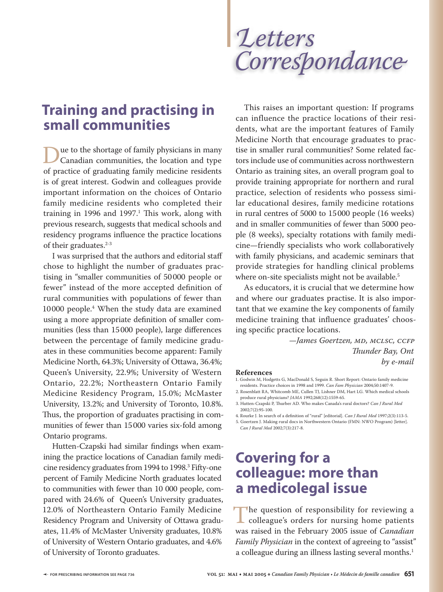**Training and practising in small communities**

Due to the shortage of family physicians in many<br>Canadian communities, the location and type<br>of practice of graduating family medicine residents of practice of graduating family medicine residents is of great interest. Godwin and colleagues provide important information on the choices of Ontario family medicine residents who completed their training in 1996 and 1997. $^1$  This work, along with previous research, suggests that medical schools and residency programs influence the practice locations of their graduates.<sup>2-3</sup>

I was surprised that the authors and editorial staff chose to highlight the number of graduates practising in "smaller communities of 50 000 people or fewer" instead of the more accepted definition of rural communities with populations of fewer than 10 000 people.4 When the study data are examined using a more appropriate definition of smaller communities (less than 15000 people), large differences between the percentage of family medicine graduates in these communities become apparent: Family Medicine North, 64.3%; University of Ottawa, 36.4%; Queen's University, 22.9%; University of Western Ontario, 22.2%; Northeastern Ontario Family Medicine Residency Program, 15.0%; McMaster University, 13.2%; and University of Toronto, 10.8%. Thus, the proportion of graduates practising in communities of fewer than 15 000 varies six-fold among Ontario programs.

Hutten-Czapski had similar findings when examining the practice locations of Canadian family medicine residency graduates from 1994 to 1998.<sup>3</sup> Fifty-one percent of Family Medicine North graduates located to communities with fewer than 10 000 people, compared with 24.6% of Queen's University graduates, 12.0% of Northeastern Ontario Family Medicine Residency Program and University of Ottawa graduates, 11.4% of McMaster University graduates, 10.8% of University of Western Ontario graduates, and 4.6% of University of Toronto graduates.

*Letters* Correspondance

This raises an important question: If programs can influence the practice locations of their residents, what are the important features of Family Medicine North that encourage graduates to practise in smaller rural communities? Some related factors include use of communities across northwestern Ontario as training sites, an overall program goal to provide training appropriate for northern and rural practice, selection of residents who possess similar educational desires, family medicine rotations in rural centres of 5000 to 15 000 people (16 weeks) and in smaller communities of fewer than 5000 people (8 weeks), specialty rotations with family medicine—friendly specialists who work collaboratively with family physicians, and academic seminars that provide strategies for handling clinical problems where on-site specialists might not be available.<sup>5</sup>

As educators, it is crucial that we determine how and where our graduates practise. It is also important that we examine the key components of family medicine training that influence graduates' choosing specific practice locations.

> *—James Goertzen, MD, MCLSC, CCFP Th under Bay, Ont by e-mail*

## **References**

1. Godwin M, Hodgetts G, MacDonald S, Seguin R. Short Report: Ontario family medicine residents. Practice choices in 1998 and 1999. *Can Fam Physician* 2004;50:1407-9.

2. Rosenblatt RA, Whitcomb ME, Cullen TJ, Lishner DM, Hart LG. Which medical schools produce rural physicians? *JAMA* 1992;268(12):1559-65.

3. Hutten-Czapski P, Thurber AD. Who makes Canada's rural doctors? Can J Rural Med 2002;7(2):95-100.

4. Rourke J. In search of a definition of "rural" [editorial]. *Can J Rural Med* 1997;2(3):113-5. 5. Goertzen J. Making rural docs in Northwestern Ontario (FMN: NWO Program) [letter]. *Can J Rural Med* 2002;7(3):217-8.

## **Covering for a colleague: more than a medicolegal issue**

The question of responsibility for reviewing a<br>colleague's orders for nursing home patients<br>was raised in the February 2005 issue of *Canadian* was raised in the February 2005 issue of *Canadian Family Physician* in the context of agreeing to "assist" a colleague during an illness lasting several months.<sup>1</sup>